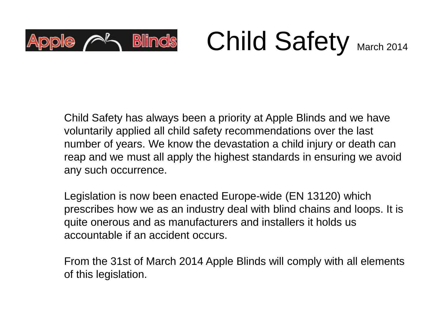

Child Safety March 2014

Child Safety has always been a priority at Apple Blinds and we have voluntarily applied all child safety recommendations over the last number of years. We know the devastation a child injury or death can reap and we must all apply the highest standards in ensuring we avoid any such occurrence.

Legislation is now been enacted Europe-wide (EN 13120) which prescribes how we as an industry deal with blind chains and loops. It is quite onerous and as manufacturers and installers it holds us accountable if an accident occurs.

From the 31st of March 2014 Apple Blinds will comply with all elements of this legislation.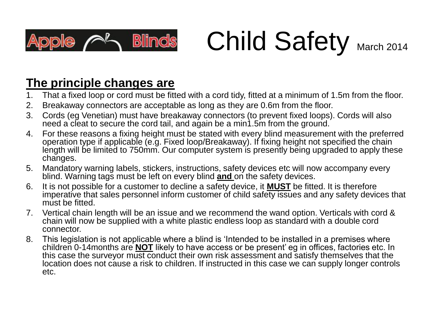

Child Safety March 2014

#### **The principle changes are**

- 1. That a fixed loop or cord must be fitted with a cord tidy, fitted at a minimum of 1.5m from the floor.
- 2. Breakaway connectors are acceptable as long as they are 0.6m from the floor.
- 3. Cords (eg Venetian) must have breakaway connectors (to prevent fixed loops). Cords will also need a cleat to secure the cord tail, and again be a min1.5m from the ground.
- 4. For these reasons a fixing height must be stated with every blind measurement with the preferred operation type if applicable (e.g. Fixed loop/Breakaway). If fixing height not specified the chain length will be limited to 750mm. Our computer system is presently being upgraded to apply these changes.
- 5. Mandatory warning labels, stickers, instructions, safety devices etc will now accompany every blind. Warning tags must be left on every blind **and** on the safety devices.
- 6. It is not possible for a customer to decline a safety device, it **MUST** be fitted. It is therefore imperative that sales personnel inform customer of child safety issues and any safety devices that must be fitted.
- 7. Vertical chain length will be an issue and we recommend the wand option. Verticals with cord & chain will now be supplied with a white plastic endless loop as standard with a double cord connector.
- 8. This legislation is not applicable where a blind is 'Intended to be installed in a premises where children 0-14months are **NOT** likely to have access or be present' eg in offices, factories etc. In this case the surveyor must conduct their own risk assessment and satisfy themselves that the location does not cause a risk to children. If instructed in this case we can supply longer controls etc.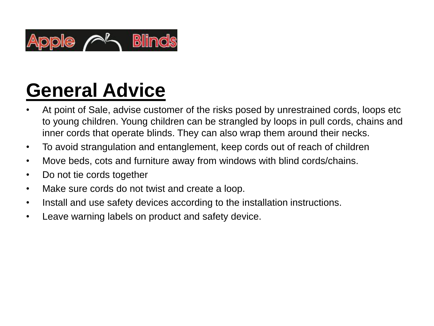

# **General Advice**

- At point of Sale, advise customer of the risks posed by unrestrained cords, loops etc to young children. Young children can be strangled by loops in pull cords, chains and inner cords that operate blinds. They can also wrap them around their necks.
- To avoid strangulation and entanglement, keep cords out of reach of children
- Move beds, cots and furniture away from windows with blind cords/chains.
- Do not tie cords together
- Make sure cords do not twist and create a loop.
- Install and use safety devices according to the installation instructions.
- Leave warning labels on product and safety device.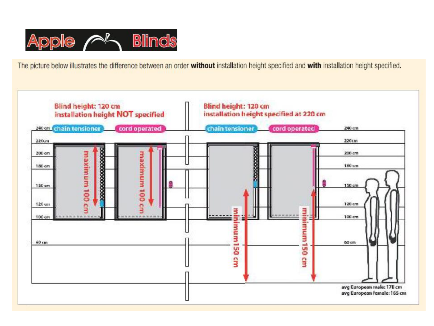

The picture below illustrates the difference between an order without installation height specified and with installation height specified.

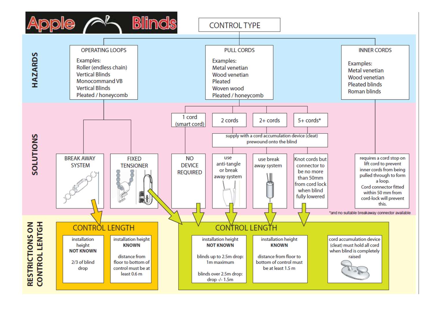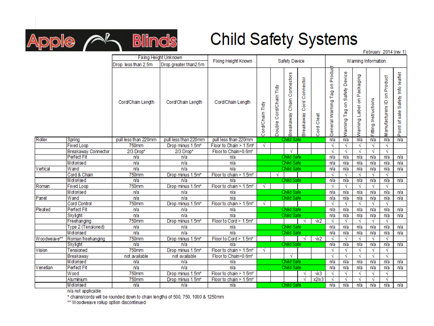

#### **Child Safety Systems**

February 2014 (rev 1)

|             |                     | Fixing Height Unknown |                        | Safety Device          |                 |                          |                               |                               | Warning Information |                               |                                     |                            |                      |                                               |                                   |
|-------------|---------------------|-----------------------|------------------------|------------------------|-----------------|--------------------------|-------------------------------|-------------------------------|---------------------|-------------------------------|-------------------------------------|----------------------------|----------------------|-----------------------------------------------|-----------------------------------|
|             |                     | Drop less than 2.5m   | Drop greater than 2.5m | Fixing Height Known    |                 |                          |                               |                               |                     |                               |                                     |                            |                      |                                               |                                   |
|             |                     | Cord/Chain Length     | Cord/Chain Length      | Cord/Chain Length      | Cord/Chain Tidy | Cord/Chain Tidy<br>ouble | Chain Connectors<br>Breakaway | Connector<br>Cord<br>reakaway | Cleat<br>Cord       | General Warning Tag on Produd | Device<br>Safety<br>등<br>Naming Tag | Warning Label on Packaging | Fitting Instructions | Product<br>g<br>$\mathbf{Q}$<br>Manufacturers | Point of sale Safety Info leaflet |
| Roller      | Spring              | pull less than 220mm  | pull less than 220mm   | pull less than 220mm   | Child Safe      |                          |                               | n/a                           | n/a                 | n/a                           | n/a                                 | n/a                        | n/a                  |                                               |                                   |
|             | <b>Fixed Loop</b>   | 750mm                 | Drop minus 1.5m*       | Floor to Chain > 1.5m* | √               |                          |                               |                               |                     | √                             |                                     | √                          | N                    | √                                             |                                   |
|             | Breakaway Connector | 2/3 Drop*             | 2/3 Drop*              | Floor to Chain>0.6m*   |                 |                          |                               |                               |                     | √                             | N                                   | √                          | √                    | √                                             |                                   |
|             | <b>Perfect Fit</b>  | n/a                   | n/a                    | n/a                    | Child Safe      |                          |                               |                               | n/a                 | n/a                           | n/a                                 | n/a                        | n/a                  | n/a                                           |                                   |
|             | Motorised           | n/a                   | n/a                    | n/a                    | Child Safe      |                          |                               |                               | n/a                 | n/a                           | n/a                                 | n/a                        | n/a                  | n/a                                           |                                   |
| Vertical    | Wand                | n/a                   | n/a                    | n/a                    | Child Safe      |                          |                               |                               | n/a                 | n/a                           | n/a                                 | n/a                        | n/a                  | n/a                                           |                                   |
|             | Cord & Chain        | 750 <sub>mm</sub>     | Drop minus 1.5m*       | Floor to chain > 1.5m* |                 |                          |                               |                               |                     | √                             |                                     | N                          | N                    | √                                             |                                   |
|             | Motorised           | n/a                   | n/a                    | n/a                    |                 |                          | Child Safe                    |                               |                     | n/a                           | n/a                                 | n/a                        | n/a                  | n/a                                           | n/a                               |
| Roman       | <b>Fixed Loop</b>   | 750mm                 | Drop minus 1.5m*       | Floor to chain > 1.5m* | √               |                          |                               |                               |                     | √                             | N                                   | √                          | N                    | √                                             |                                   |
|             | Motorised           | n/a                   | n/a                    | n/a                    | Child Safe      |                          |                               |                               | n/a                 | n/a                           | n/a                                 | n/a                        | n/a                  | n/a                                           |                                   |
| Panel       | Wand                | n/a                   | n/a                    | n/a                    |                 |                          | Child Safe                    |                               |                     | n/a                           | n/a                                 | n/a                        | n/a                  | n/a                                           | n/a                               |
|             | <b>Cord Control</b> | 750mm                 | Drop minus 1.5m*       | Floor to chain > 1.5m* | √               |                          |                               |                               |                     | √                             | N                                   | √                          | √                    | √                                             |                                   |
| Pleated     | <b>Perfect Fit</b>  | rva                   | n/a                    | n/a                    | Child Safe      |                          |                               |                               | n/a                 | n/a                           | n/a                                 | n/a                        | n/a                  | n/a                                           |                                   |
|             | Skylight            | n/a                   | n/a                    | n/a                    | Child Safe      |                          |                               | n/a                           | n/a                 | n/a                           | n/a                                 | n/a                        | n/a                  |                                               |                                   |
|             | Freehanging         | $750$ mm              | Drop minus 1.5m*       | Floor to Cord > 1.5m*  |                 |                          |                               | N                             | $\sqrt{x}$          | √                             | √                                   | √                          | N                    | √                                             |                                   |
|             | Type 2 (Tensioned)  | n/a                   | n/a                    | n/a                    | Child Safe      |                          |                               |                               | n/a                 | n/a                           | n/a                                 | n/a                        | n/a                  | n/a                                           |                                   |
|             | Motorised           | n/a                   | n/a                    | n/a                    | Child Safe      |                          |                               | n/a                           | n/a                 | n/a                           | n/a                                 | n/a                        | n/a                  |                                               |                                   |
| Woodweave** | Roman freehanging   | 750mm                 | Drop minus 1.5m*       | Floor to Cord > 1.5m*  |                 |                          |                               | N                             | $\sqrt{x}$          | √                             | N                                   | N                          | N                    | √                                             |                                   |
|             | Skylight            | n/a                   | n/a                    | n/a                    |                 |                          | Child Safe                    |                               |                     | n/a                           | n/a                                 | n/a                        | n/a                  | n/a                                           | n/a                               |
| Vision      | Tensioned           | 750 <sub>mm</sub>     | Drop minus 1.5m*       | Floor to chain > 1.5m* | √               |                          |                               |                               |                     | √                             |                                     | √                          | N                    | √                                             |                                   |
|             | Breakaway           | not available         | not available          | Floor to Chain>0.6m*   |                 |                          | √                             |                               |                     | √                             | √                                   | √                          | N                    | √                                             |                                   |
|             | Motorised           | n/a                   | n/a                    | n/a                    | Child Safe      |                          |                               | n/a                           | n/a                 | n/a                           | n/a                                 | n/a                        | n/a                  |                                               |                                   |
| Venetian    | Perfect Fit         | n/a                   | n/a                    | n/a                    | Child Safe      |                          |                               | n/a                           | n/a                 | n/a                           | n/a                                 | n/a                        | n/a                  |                                               |                                   |
|             | Wood                | $750$ mm              | Drop minus 1.5m*       | Floor to chain > 1.5m* |                 |                          |                               | N                             | $\sqrt{x}$ 3        | √                             | N                                   | N                          | √                    | √                                             |                                   |
|             | Aluminium           | 750mm                 | Drop minus 1.5m*       | Floor to chain > 1.5m* |                 |                          |                               | N                             | x2/x3               | √                             | N                                   | N                          | N                    | √                                             |                                   |
|             | Motorised           | n/a                   | n/a                    | n/a                    |                 | Child Safe               |                               |                               |                     | n/a                           | n/a                                 | n/a                        | n/a                  | n/a                                           | n/a                               |

n/a not applicable

\* chains/cords will be rounded down to chain lengths of 500, 750, 1000 & 1250mm

\*\* Woodweave rollup option discontinued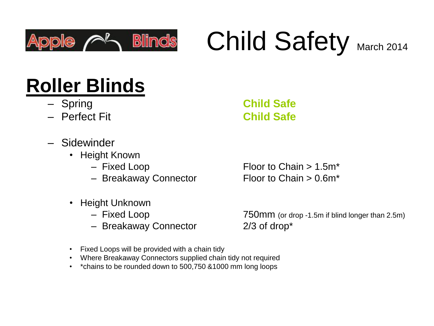

# Child Safety March 2014

# **Roller Blinds**

- Spring **Child Safe**
- Perfect Fit **Child Safe**
- Sidewinder
	- Height Known
		-
		- Breakaway Connector Floor to Chain >  $0.6m^*$
	- Height Unknown
		-
		- Breakaway Connector 2/3 of drop\*

– Fixed Loop Floor to Chain > 1.5m<sup>\*</sup>

– Fixed Loop 750mm (or drop -1.5m if blind longer than 2.5m)

- Fixed Loops will be provided with a chain tidy
- Where Breakaway Connectors supplied chain tidy not required
- \*chains to be rounded down to 500,750 &1000 mm long loops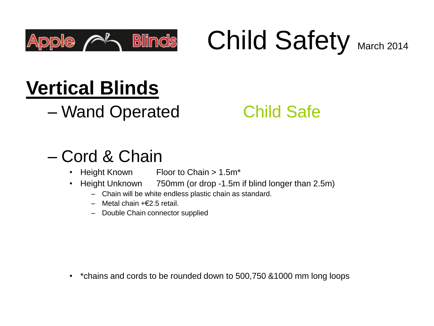

Child Safety March 2014

# **Vertical Blinds**

– Wand Operated Child Safe

#### – Cord & Chain

- Height Known Floor to Chain > 1.5m\*
- Height Unknown 750mm (or drop -1.5m if blind longer than 2.5m)
	- Chain will be white endless plastic chain as standard.
	- Metal chain +€2.5 retail.
	- Double Chain connector supplied

• \*chains and cords to be rounded down to 500,750 &1000 mm long loops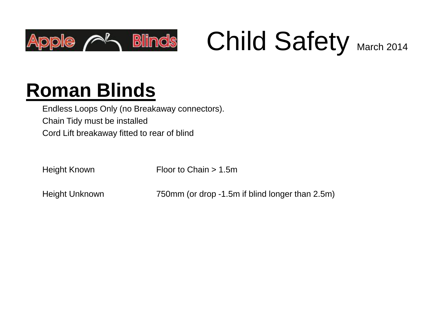

Child Safety March 2014

# **Roman Blinds**

Endless Loops Only (no Breakaway connectors). Chain Tidy must be installed Cord Lift breakaway fitted to rear of blind

Height Known Floor to Chain > 1.5m

Height Unknown 750mm (or drop -1.5m if blind longer than 2.5m)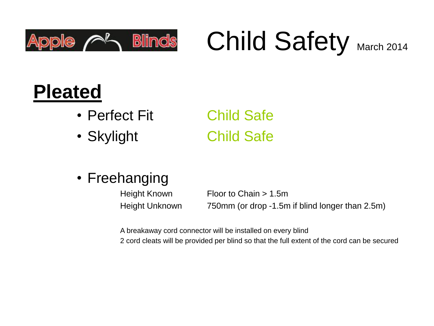

Child Safety March 2014

## **Pleated**

- Perfect Fit Child Safe
- Skylight Child Safe

• Freehanging

Height Known Floor to Chain > 1.5m Height Unknown 750mm (or drop -1.5m if blind longer than 2.5m)

A breakaway cord connector will be installed on every blind

2 cord cleats will be provided per blind so that the full extent of the cord can be secured